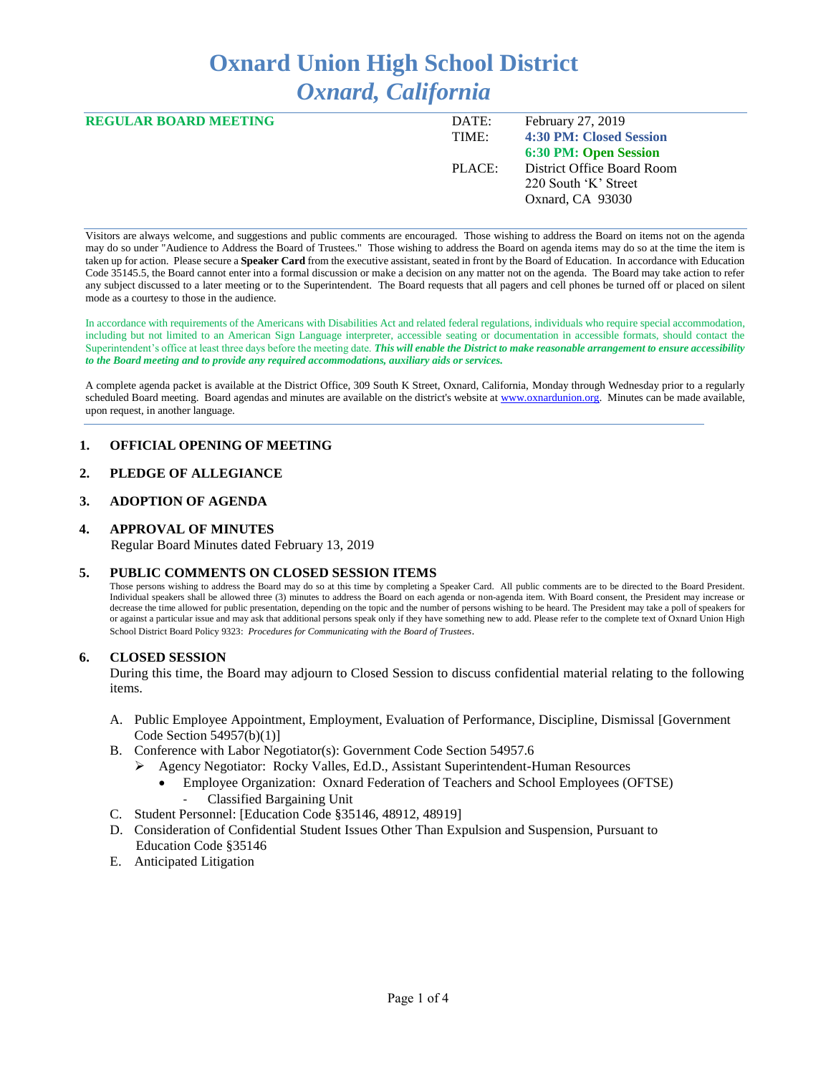# **Oxnard Union High School District** *Oxnard, California*

| <b>REGULAR BOARD MEETING</b> | DATE:  | February 27, 2019          |
|------------------------------|--------|----------------------------|
|                              | TIME:  | 4:30 PM: Closed Session    |
|                              |        | 6:30 PM: Open Session      |
|                              | PLACE: | District Office Board Room |
|                              |        | 220 South 'K' Street       |
|                              |        | Oxnard, CA 93030           |

Visitors are always welcome, and suggestions and public comments are encouraged. Those wishing to address the Board on items not on the agenda may do so under "Audience to Address the Board of Trustees." Those wishing to address the Board on agenda items may do so at the time the item is taken up for action. Please secure a **Speaker Card** from the executive assistant, seated in front by the Board of Education. In accordance with Education Code 35145.5, the Board cannot enter into a formal discussion or make a decision on any matter not on the agenda. The Board may take action to refer any subject discussed to a later meeting or to the Superintendent. The Board requests that all pagers and cell phones be turned off or placed on silent mode as a courtesy to those in the audience.

In accordance with requirements of the Americans with Disabilities Act and related federal regulations, individuals who require special accommodation, including but not limited to an American Sign Language interpreter, accessible seating or documentation in accessible formats, should contact the Superintendent's office at least three days before the meeting date. *This will enable the District to make reasonable arrangement to ensure accessibility to the Board meeting and to provide any required accommodations, auxiliary aids or services.* 

A complete agenda packet is available at the District Office, 309 South K Street, Oxnard, California, Monday through Wednesday prior to a regularly scheduled Board meeting. Board agendas and minutes are available on the district's website at [www.ox](http://www.o/)nardunion.org.Minutes can be made available, upon request, in another language.

### **1. OFFICIAL OPENING OF MEETING**

# **2. PLEDGE OF ALLEGIANCE**

## **3. ADOPTION OF AGENDA**

#### **4. APPROVAL OF MINUTES**

Regular Board Minutes dated February 13, 2019

#### **5. PUBLIC COMMENTS ON CLOSED SESSION ITEMS**

Those persons wishing to address the Board may do so at this time by completing a Speaker Card. All public comments are to be directed to the Board President. Individual speakers shall be allowed three (3) minutes to address the Board on each agenda or non-agenda item. With Board consent, the President may increase or decrease the time allowed for public presentation, depending on the topic and the number of persons wishing to be heard. The President may take a poll of speakers for or against a particular issue and may ask that additional persons speak only if they have something new to add. Please refer to the complete text of Oxnard Union High School District Board Policy 9323: *Procedures for Communicating with the Board of Trustees*.

#### **6. CLOSED SESSION**

During this time, the Board may adjourn to Closed Session to discuss confidential material relating to the following items.

- A. Public Employee Appointment, Employment, Evaluation of Performance, Discipline, Dismissal [Government Code Section 54957(b)(1)]
- B. Conference with Labor Negotiator(s): Government Code Section 54957.6
	- ➢ Agency Negotiator: Rocky Valles, Ed.D., Assistant Superintendent-Human Resources
		- Employee Organization: Oxnard Federation of Teachers and School Employees (OFTSE) - Classified Bargaining Unit
- C. Student Personnel: [Education Code §35146, 48912, 48919]
- D. Consideration of Confidential Student Issues Other Than Expulsion and Suspension, Pursuant to Education Code §35146
- E. Anticipated Litigation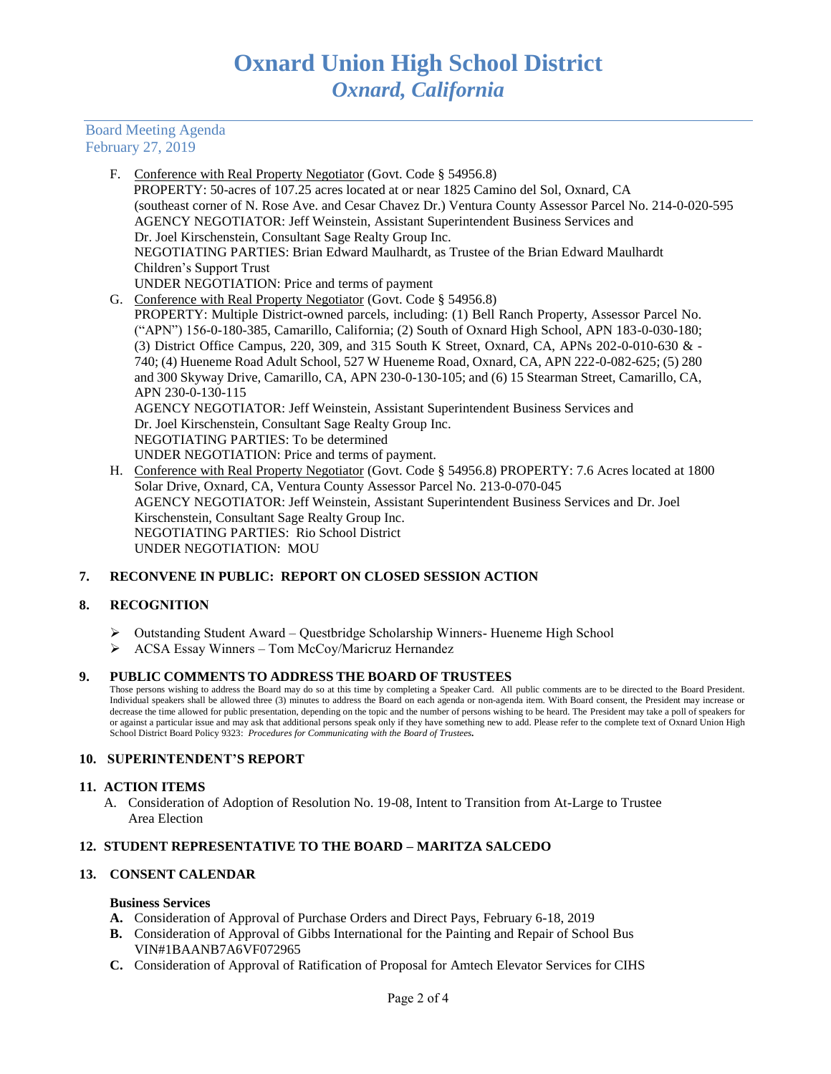Board Meeting Agenda February 27, 2019

> F. Conference with Real Property Negotiator (Govt. Code § 54956.8) PROPERTY: 50-acres of 107.25 acres located at or near 1825 Camino del Sol, Oxnard, CA (southeast corner of N. Rose Ave. and Cesar Chavez Dr.) Ventura County Assessor Parcel No. 214-0-020-595 AGENCY NEGOTIATOR: Jeff Weinstein, Assistant Superintendent Business Services and Dr. Joel Kirschenstein, Consultant Sage Realty Group Inc. NEGOTIATING PARTIES: Brian Edward Maulhardt, as Trustee of the Brian Edward Maulhardt Children's Support Trust UNDER NEGOTIATION: Price and terms of payment G. Conference with Real Property Negotiator (Govt. Code § 54956.8) PROPERTY: Multiple District-owned parcels, including: (1) Bell Ranch Property, Assessor Parcel No. ("APN") 156-0-180-385, Camarillo, California; (2) South of Oxnard High School, APN 183-0-030-180; (3) District Office Campus, 220, 309, and 315 South K Street, Oxnard, CA, APNs 202-0-010-630 & - 740; (4) Hueneme Road Adult School, 527 W Hueneme Road, Oxnard, CA, APN 222-0-082-625; (5) 280 and 300 Skyway Drive, Camarillo, CA, APN 230-0-130-105; and (6) 15 Stearman Street, Camarillo, CA, APN 230-0-130-115 AGENCY NEGOTIATOR: Jeff Weinstein, Assistant Superintendent Business Services and Dr. Joel Kirschenstein, Consultant Sage Realty Group Inc. NEGOTIATING PARTIES: To be determined UNDER NEGOTIATION: Price and terms of payment. H. Conference with Real Property Negotiator (Govt. Code § 54956.8) PROPERTY: 7.6 Acres located at 1800 Solar Drive, Oxnard, CA, Ventura County Assessor Parcel No. 213-0-070-045 AGENCY NEGOTIATOR: Jeff Weinstein, Assistant Superintendent Business Services and Dr. Joel Kirschenstein, Consultant Sage Realty Group Inc.

NEGOTIATING PARTIES: Rio School District

UNDER NEGOTIATION: MOU

# **7. RECONVENE IN PUBLIC: REPORT ON CLOSED SESSION ACTION**

# **8. RECOGNITION**

- ➢ Outstanding Student Award Questbridge Scholarship Winners- Hueneme High School
- ➢ ACSA Essay Winners Tom McCoy/Maricruz Hernandez

### **9. PUBLIC COMMENTS TO ADDRESS THE BOARD OF TRUSTEES**

Those persons wishing to address the Board may do so at this time by completing a Speaker Card. All public comments are to be directed to the Board President. Individual speakers shall be allowed three (3) minutes to address the Board on each agenda or non-agenda item. With Board consent, the President may increase or decrease the time allowed for public presentation, depending on the topic and the number of persons wishing to be heard. The President may take a poll of speakers for or against a particular issue and may ask that additional persons speak only if they have something new to add. Please refer to the complete text of Oxnard Union High School District Board Policy 9323: *Procedures for Communicating with the Board of Trustees.*

### **10. SUPERINTENDENT'S REPORT**

### **11. ACTION ITEMS**

A. Consideration of Adoption of Resolution No. 19-08, Intent to Transition from At-Large to Trustee Area Election

### **12. STUDENT REPRESENTATIVE TO THE BOARD – MARITZA SALCEDO**

## **13. CONSENT CALENDAR**

### **Business Services**

- **A.** Consideration of Approval of Purchase Orders and Direct Pays, February 6-18, 2019
- **B.** Consideration of Approval of Gibbs International for the Painting and Repair of School Bus VIN#1BAANB7A6VF072965
- **C.** Consideration of Approval of Ratification of Proposal for Amtech Elevator Services for CIHS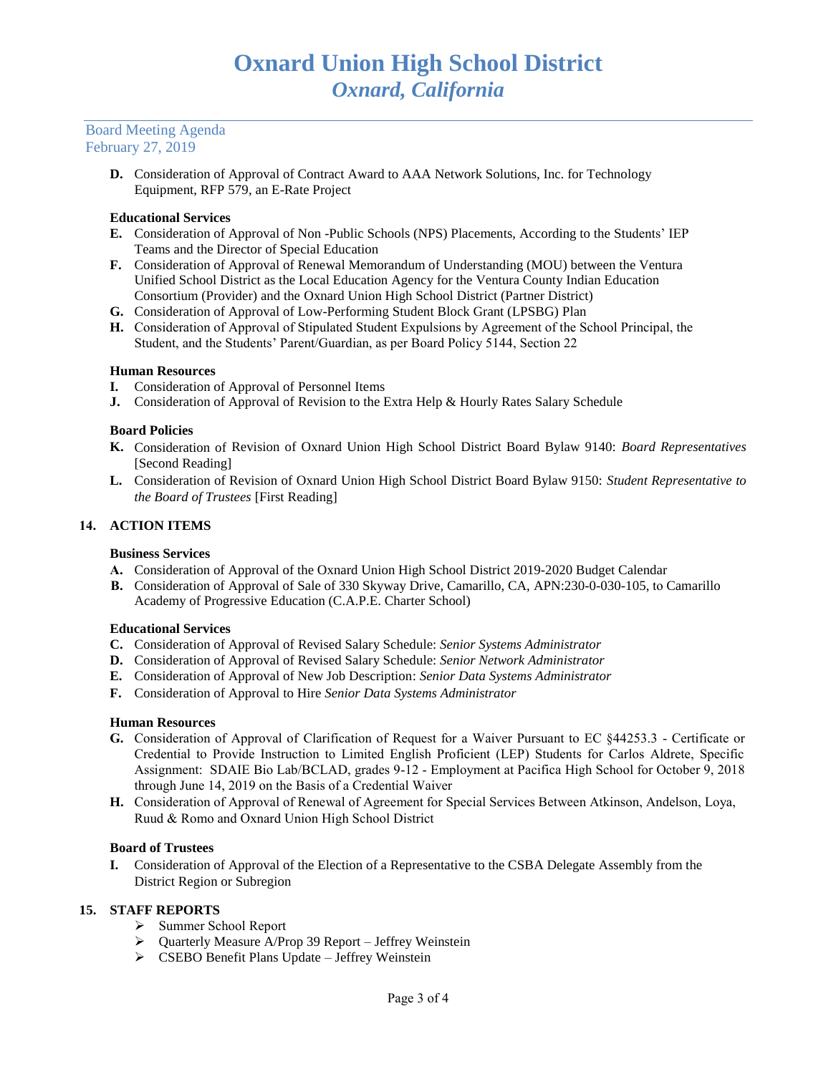#### Board Meeting Agenda February 27, 2019

**D.** Consideration of Approval of Contract Award to AAA Network Solutions, Inc. for Technology Equipment, RFP 579, an E-Rate Project

## **Educational Services**

- **E.** Consideration of Approval of Non -Public Schools (NPS) Placements, According to the Students' IEP Teams and the Director of Special Education
- **F.** Consideration of Approval of Renewal Memorandum of Understanding (MOU) between the Ventura Unified School District as the Local Education Agency for the Ventura County Indian Education Consortium (Provider) and the Oxnard Union High School District (Partner District)
- **G.** Consideration of Approval of Low-Performing Student Block Grant (LPSBG) Plan
- **H.** Consideration of Approval of Stipulated Student Expulsions by Agreement of the School Principal, the Student, and the Students' Parent/Guardian, as per Board Policy 5144, Section 22

### **Human Resources**

- **I.** Consideration of Approval of Personnel Items
- **J.** Consideration of Approval of Revision to the Extra Help & Hourly Rates Salary Schedule

#### **Board Policies**

- **K.** Consideration of Revision of Oxnard Union High School District Board Bylaw 9140: *Board Representatives* [Second Reading]
- **L.** Consideration of Revision of Oxnard Union High School District Board Bylaw 9150: *Student Representative to the Board of Trustees* [First Reading]

### **14. ACTION ITEMS**

### **Business Services**

- **A.** Consideration of Approval of the Oxnard Union High School District 2019-2020 Budget Calendar
- **B.** Consideration of Approval of Sale of 330 Skyway Drive, Camarillo, CA, APN:230-0-030-105, to Camarillo Academy of Progressive Education (C.A.P.E. Charter School)

#### **Educational Services**

- **C.** Consideration of Approval of Revised Salary Schedule: *Senior Systems Administrator*
- **D.** Consideration of Approval of Revised Salary Schedule: *Senior Network Administrator*
- **E.** Consideration of Approval of New Job Description: *Senior Data Systems Administrator*
- **F.** Consideration of Approval to Hire *Senior Data Systems Administrator*

### **Human Resources**

- **G.** Consideration of Approval of Clarification of Request for a Waiver Pursuant to EC §44253.3 Certificate or Credential to Provide Instruction to Limited English Proficient (LEP) Students for Carlos Aldrete, Specific Assignment: SDAIE Bio Lab/BCLAD, grades 9-12 - Employment at Pacifica High School for October 9, 2018 through June 14, 2019 on the Basis of a Credential Waiver
- **H.** Consideration of Approval of Renewal of Agreement for Special Services Between Atkinson, Andelson, Loya, Ruud & Romo and Oxnard Union High School District

### **Board of Trustees**

**I.** Consideration of Approval of the Election of a Representative to the CSBA Delegate Assembly from the District Region or Subregion

# **15. STAFF REPORTS**

- ➢ Summer School Report
- ➢ Quarterly Measure A/Prop 39 Report Jeffrey Weinstein
- ➢ CSEBO Benefit Plans Update Jeffrey Weinstein